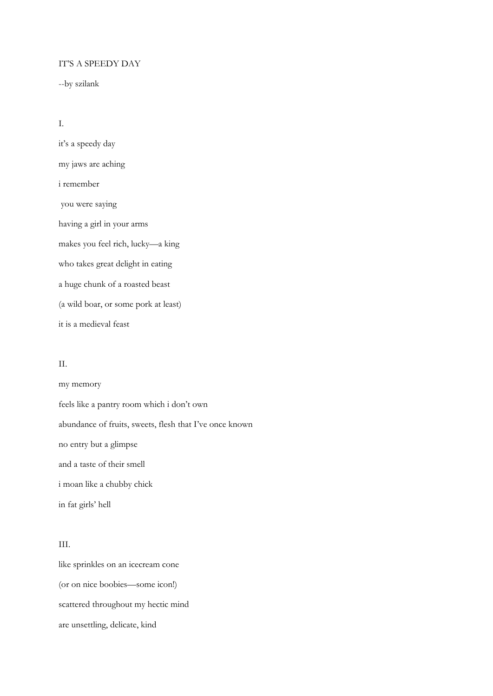## IT'S A SPEEDY DAY

--by szilank

I.

it's a speedy day my jaws are aching i remember you were saying having a girl in your arms makes you feel rich, lucky—a king who takes great delight in eating a huge chunk of a roasted beast (a wild boar, or some pork at least) it is a medieval feast

## II.

my memory feels like a pantry room which i don't own abundance of fruits, sweets, flesh that I've once known no entry but a glimpse and a taste of their smell i moan like a chubby chick in fat girls' hell

## III.

like sprinkles on an icecream cone (or on nice boobies—some icon!) scattered throughout my hectic mind are unsettling, delicate, kind